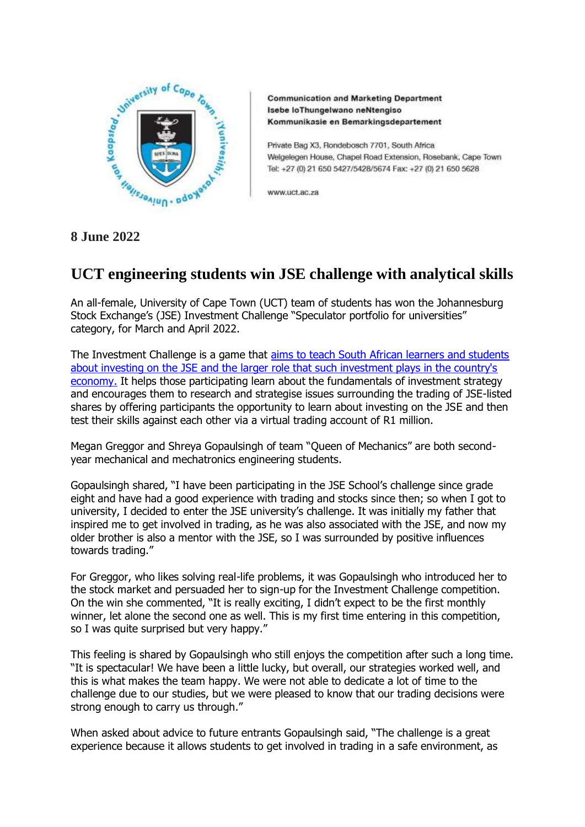

**Communication and Marketing Department** Isebe IoThungelwano neNtengiso Kommunikasie en Bemarkingsdepartement

Private Bag X3, Rondebosch 7701, South Africa Welgelegen House, Chapel Road Extension, Rosebank, Cape Town Tel: +27 (0) 21 650 5427/5428/5674 Fax: +27 (0) 21 650 5628

www.uct.ac.za

## **8 June 2022**

## **UCT engineering students win JSE challenge with analytical skills**

An all-female, University of Cape Town (UCT) team of students has won the Johannesburg Stock Exchange's (JSE) Investment Challenge "Speculator portfolio for universities" category, for March and April 2022.

The Investment Challenge is a game that [aims to teach South African learners and students](https://schools.jse.co.za/School/Overview)  [about investing on the JSE and the larger role that such investment plays in the country's](https://schools.jse.co.za/School/Overview)  [economy.](https://schools.jse.co.za/School/Overview) It helps those participating learn about the fundamentals of investment strategy and encourages them to research and strategise issues surrounding the trading of JSE-listed shares by offering participants the opportunity to learn about investing on the JSE and then test their skills against each other via a virtual trading account of R1 million.

Megan Greggor and Shreya Gopaulsingh of team "Queen of Mechanics" are both secondyear mechanical and mechatronics engineering students.

Gopaulsingh shared, "I have been participating in the JSE School's challenge since grade eight and have had a good experience with trading and stocks since then; so when I got to university, I decided to enter the JSE university's challenge. It was initially my father that inspired me to get involved in trading, as he was also associated with the JSE, and now my older brother is also a mentor with the JSE, so I was surrounded by positive influences towards trading."

For Greggor, who likes solving real-life problems, it was Gopaulsingh who introduced her to the stock market and persuaded her to sign-up for the Investment Challenge competition. On the win she commented, "It is really exciting, I didn't expect to be the first monthly winner, let alone the second one as well. This is my first time entering in this competition, so I was quite surprised but very happy."

This feeling is shared by Gopaulsingh who still enjoys the competition after such a long time. "It is spectacular! We have been a little lucky, but overall, our strategies worked well, and this is what makes the team happy. We were not able to dedicate a lot of time to the challenge due to our studies, but we were pleased to know that our trading decisions were strong enough to carry us through."

When asked about advice to future entrants Gopaulsingh said, "The challenge is a great experience because it allows students to get involved in trading in a safe environment, as